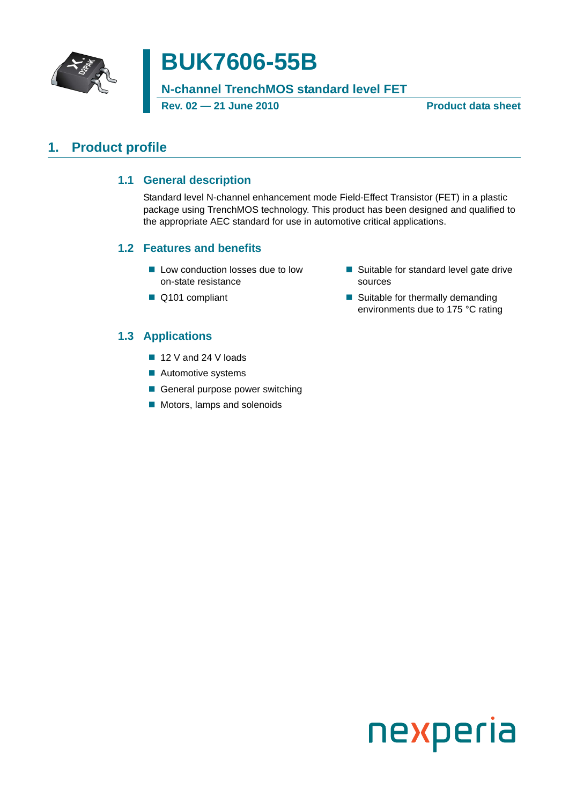

# **BUK7606-55B**

**N-channel TrenchMOS standard level FET**

**Rev. 02 — 21 June 2010 Product data sheet**

### <span id="page-0-1"></span><span id="page-0-0"></span>**1. Product profile**

#### **1.1 General description**

Standard level N-channel enhancement mode Field-Effect Transistor (FET) in a plastic package using TrenchMOS technology. This product has been designed and qualified to the appropriate AEC standard for use in automotive critical applications.

#### <span id="page-0-2"></span>**1.2 Features and benefits**

- Low conduction losses due to low on-state resistance
- Q101 compliant
- Suitable for standard level gate drive sources
- Suitable for thermally demanding environments due to 175 °C rating

### <span id="page-0-3"></span>**1.3 Applications**

- 12 V and 24 V loads
- **Automotive systems**
- General purpose power switching
- Motors, lamps and solenoids

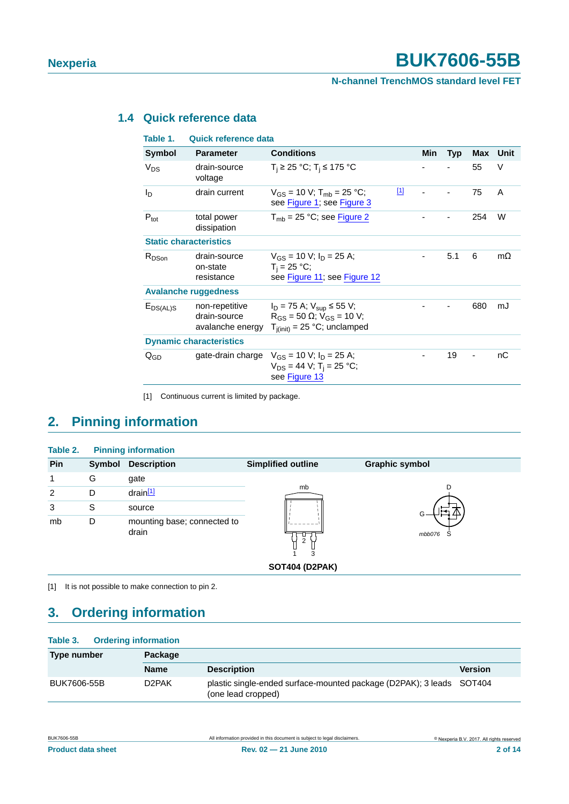### <span id="page-1-2"></span>**1.4 Quick reference data**

| Table 1.                       | <b>Quick reference data</b>                        |                                                                                                                    |              |     |            |     |           |
|--------------------------------|----------------------------------------------------|--------------------------------------------------------------------------------------------------------------------|--------------|-----|------------|-----|-----------|
| Symbol                         | <b>Parameter</b>                                   | <b>Conditions</b>                                                                                                  |              | Min | <b>Typ</b> | Max | Unit      |
| $V_{DS}$                       | drain-source<br>voltage                            | $T_i$ ≥ 25 °C; T <sub>i</sub> ≤ 175 °C                                                                             |              |     |            | 55  | V         |
| I <sub>D</sub>                 | drain current                                      | $V_{GS}$ = 10 V; T <sub>mb</sub> = 25 °C;<br>see Figure 1; see Figure 3                                            | $\boxed{11}$ |     |            | 75  | A         |
| $P_{\text{tot}}$               | total power<br>dissipation                         | $T_{\rm mb}$ = 25 °C; see Figure 2                                                                                 |              |     |            | 254 | W         |
| <b>Static characteristics</b>  |                                                    |                                                                                                                    |              |     |            |     |           |
| $R_{DSon}$                     | drain-source<br>on-state<br>resistance             | $V_{GS}$ = 10 V; $I_D$ = 25 A;<br>$T_i = 25 °C;$<br>see Figure 11; see Figure 12                                   |              |     | 5.1        | 6   | $m\Omega$ |
|                                | <b>Avalanche ruggedness</b>                        |                                                                                                                    |              |     |            |     |           |
| $E_{DS(AL)S}$                  | non-repetitive<br>drain-source<br>avalanche energy | $I_D = 75$ A; $V_{sup} \le 55$ V;<br>$R_{GS}$ = 50 $\Omega$ ; $V_{GS}$ = 10 V;<br>$T_{i(init)} = 25$ °C; unclamped |              |     |            | 680 | mJ        |
| <b>Dynamic characteristics</b> |                                                    |                                                                                                                    |              |     |            |     |           |
| $Q_{GD}$                       |                                                    | gate-drain charge $V_{GS} = 10 V$ ; $I_D = 25 A$ ;<br>$V_{DS} = 44 V$ ; T <sub>i</sub> = 25 °C;<br>see Figure 13   |              |     | 19         |     | nС        |
|                                |                                                    |                                                                                                                    |              |     |            |     |           |

<span id="page-1-0"></span>[1] Continuous current is limited by package.

### <span id="page-1-3"></span>**2. Pinning information**

| Table 2.       |        | <b>Pinning information</b>           |                           |                       |
|----------------|--------|--------------------------------------|---------------------------|-----------------------|
| Pin            | Symbol | <b>Description</b>                   | <b>Simplified outline</b> | <b>Graphic symbol</b> |
| 1              | G      | gate                                 |                           |                       |
| $\overline{2}$ | D      | $drain$ <sup>[1]</sup>               | mb                        | D                     |
| 3              | S      | source                               |                           |                       |
| mb             | D      | mounting base; connected to<br>drain | ◡<br>ົ<br>∠<br>3          | mbb076<br>S           |

**SOT404 (D2PAK)**

<span id="page-1-1"></span>[1] It is not possible to make connection to pin 2.

### <span id="page-1-4"></span>**3. Ordering information**

| <b>Ordering information</b><br>Table 3. |                    |                                                                                            |                |  |  |
|-----------------------------------------|--------------------|--------------------------------------------------------------------------------------------|----------------|--|--|
| <b>Type number</b>                      | Package            |                                                                                            |                |  |  |
|                                         | <b>Name</b>        | <b>Description</b>                                                                         | <b>Version</b> |  |  |
| BUK7606-55B                             | D <sub>2</sub> PAK | plastic single-ended surface-mounted package (D2PAK); 3 leads SOT404<br>(one lead cropped) |                |  |  |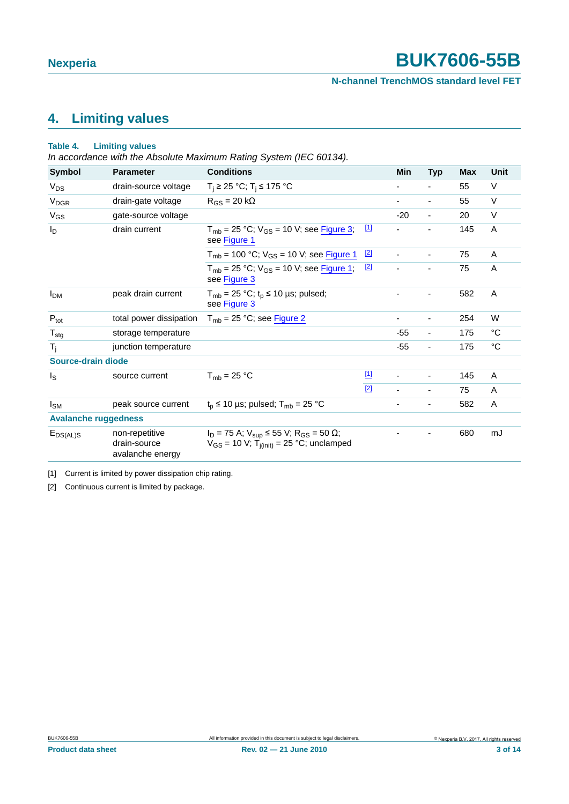**N-channel TrenchMOS standard level FET**

## <span id="page-2-2"></span>**4. Limiting values**

#### **Table 4. Limiting values**

*In accordance with the Absolute Maximum Rating System (IEC 60134).*

| <b>Symbol</b>               | <b>Parameter</b>                                   | <b>Conditions</b>                                                                                                             |             | Min                      | <b>Typ</b>               | Max | <b>Unit</b> |
|-----------------------------|----------------------------------------------------|-------------------------------------------------------------------------------------------------------------------------------|-------------|--------------------------|--------------------------|-----|-------------|
| $V_{DS}$                    | drain-source voltage                               | $T_i$ ≥ 25 °C; T <sub>i</sub> ≤ 175 °C                                                                                        |             |                          |                          | 55  | V           |
| <b>V<sub>DGR</sub></b>      | drain-gate voltage                                 | $R_{GS}$ = 20 k $\Omega$                                                                                                      |             |                          | $\overline{\phantom{a}}$ | 55  | $\vee$      |
| $V_{GS}$                    | gate-source voltage                                |                                                                                                                               |             | $-20$                    | $\blacksquare$           | 20  | $\vee$      |
| $I_D$                       | drain current                                      | $T_{mb}$ = 25 °C; $V_{GS}$ = 10 V; see Figure 3;<br>see Figure 1                                                              | $\boxed{1}$ |                          | ۰                        | 145 | A           |
|                             |                                                    | $T_{mb}$ = 100 °C; $V_{GS}$ = 10 V; see Figure 1                                                                              | $\boxed{2}$ |                          | $\blacksquare$           | 75  | A           |
|                             |                                                    | $T_{mb}$ = 25 °C; $V_{GS}$ = 10 V; see Figure 1;<br>see Figure 3                                                              | $[2]$       | $\overline{\phantom{0}}$ | $\overline{\phantom{0}}$ | 75  | A           |
| <b>I<sub>DM</sub></b>       | peak drain current                                 | $T_{mb}$ = 25 °C; t <sub>p</sub> ≤ 10 µs; pulsed;<br>see Figure 3                                                             |             |                          |                          | 582 | A           |
| $P_{\text{tot}}$            | total power dissipation                            | $T_{mb}$ = 25 °C; see Figure 2                                                                                                |             | ۰                        | $\overline{\phantom{a}}$ | 254 | W           |
| $T_{\text{stg}}$            | storage temperature                                |                                                                                                                               |             | $-55$                    | $\overline{\phantom{a}}$ | 175 | °C          |
| $T_i$                       | junction temperature                               |                                                                                                                               |             | $-55$                    | $\overline{\phantom{0}}$ | 175 | °C          |
| Source-drain diode          |                                                    |                                                                                                                               |             |                          |                          |     |             |
| Is                          | source current                                     | $T_{mb}$ = 25 °C                                                                                                              | $\boxed{1}$ | $\overline{\phantom{a}}$ | -                        | 145 | A           |
|                             |                                                    |                                                                                                                               | $[2]$       | $\blacksquare$           | ٠                        | 75  | A           |
| $I_{SM}$                    | peak source current                                | $t_p \le 10$ µs; pulsed; $T_{mb} = 25$ °C                                                                                     |             | ٠                        |                          | 582 | A           |
| <b>Avalanche ruggedness</b> |                                                    |                                                                                                                               |             |                          |                          |     |             |
| $E_{DS(AL)S}$               | non-repetitive<br>drain-source<br>avalanche energy | $I_D = 75$ A; $V_{sup} \le 55$ V; R <sub>GS</sub> = 50 $\Omega$ ;<br>$V_{GS}$ = 10 V; T <sub>j(init)</sub> = 25 °C; unclamped |             |                          |                          | 680 | mJ          |

<span id="page-2-0"></span>[1] Current is limited by power dissipation chip rating.

<span id="page-2-1"></span>[2] Continuous current is limited by package.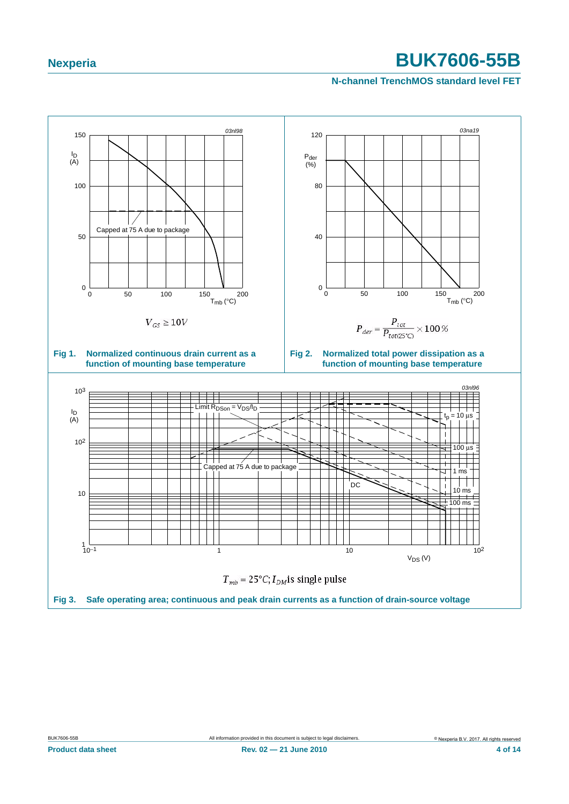<span id="page-3-2"></span><span id="page-3-1"></span><span id="page-3-0"></span>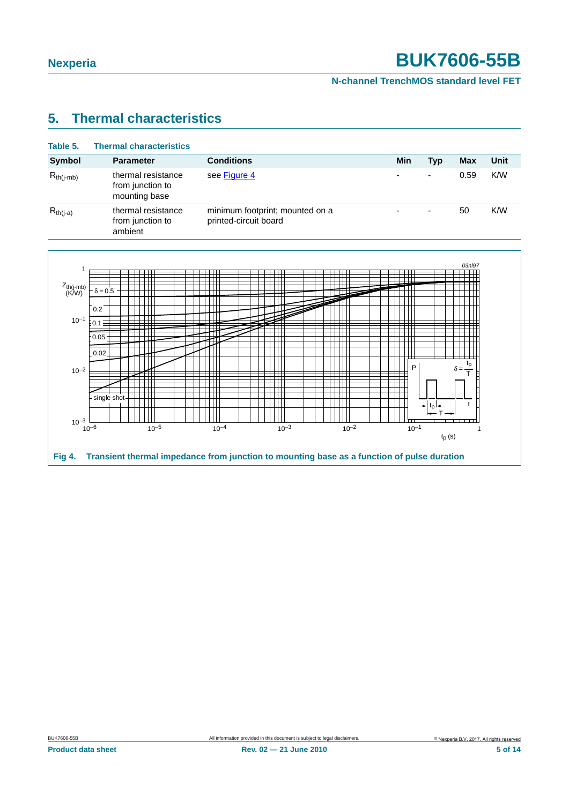#### **N-channel TrenchMOS standard level FET**

### <span id="page-4-1"></span>**5. Thermal characteristics**

| Table 5.       | <b>Thermal characteristics</b>                          |                                                          |                          |                          |      |      |
|----------------|---------------------------------------------------------|----------------------------------------------------------|--------------------------|--------------------------|------|------|
| <b>Symbol</b>  | <b>Parameter</b>                                        | <b>Conditions</b>                                        | Min                      | Typ                      | Max  | Unit |
| $R_{th(i-mb)}$ | thermal resistance<br>from junction to<br>mounting base | see Figure 4                                             | $\overline{\phantom{0}}$ | $\overline{\phantom{0}}$ | 0.59 | K/W  |
| $R_{th(i-a)}$  | thermal resistance<br>from junction to<br>ambient       | minimum footprint; mounted on a<br>printed-circuit board | ٠                        | ٠                        | 50   | K/W  |

<span id="page-4-0"></span>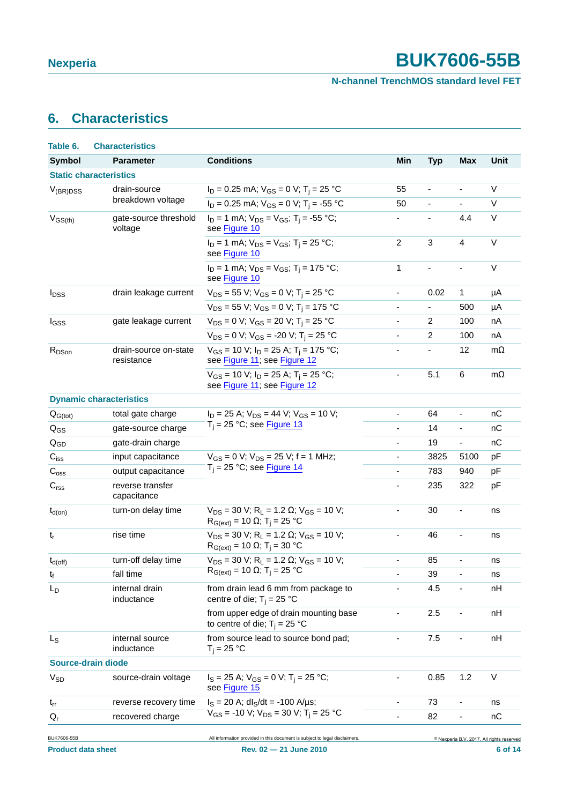#### **N-channel TrenchMOS standard level FET**

## <span id="page-5-0"></span>**6. Characteristics**

| Table 6.                    | <b>Characteristics</b>              |                                                                                                                               |                              |                          |                          |                                                      |  |  |
|-----------------------------|-------------------------------------|-------------------------------------------------------------------------------------------------------------------------------|------------------------------|--------------------------|--------------------------|------------------------------------------------------|--|--|
| <b>Symbol</b>               | <b>Parameter</b>                    | <b>Conditions</b>                                                                                                             | Min                          | <b>Typ</b>               | <b>Max</b>               | <b>Unit</b>                                          |  |  |
|                             | <b>Static characteristics</b>       |                                                                                                                               |                              |                          |                          |                                                      |  |  |
| $V_{(BR)DSS}$               | drain-source                        | $I_D = 0.25$ mA; $V_{GS} = 0$ V; T <sub>i</sub> = 25 °C                                                                       | 55                           | $\overline{\phantom{a}}$ | $\overline{\phantom{a}}$ | V                                                    |  |  |
|                             | breakdown voltage                   | $I_D = 0.25$ mA; $V_{GS} = 0$ V; T <sub>i</sub> = -55 °C                                                                      | 50                           | $\overline{\phantom{a}}$ | $\overline{\phantom{a}}$ | V                                                    |  |  |
| $V_{GS(th)}$                | gate-source threshold<br>voltage    | $I_D = 1$ mA; $V_{DS} = V_{GS}$ ; T <sub>i</sub> = -55 °C;<br>see Figure 10                                                   |                              |                          | 4.4                      | $\vee$                                               |  |  |
|                             |                                     | $I_D = 1$ mA; $V_{DS} = V_{GS}$ ; T <sub>i</sub> = 25 °C;<br>see Figure 10                                                    | $\overline{c}$               | 3                        | $\overline{4}$           | $\vee$                                               |  |  |
|                             |                                     | $I_D = 1$ mA; $V_{DS} = V_{GS}$ ; T <sub>i</sub> = 175 °C;<br>see Figure 10                                                   | $\mathbf 1$                  | ÷,                       | $\overline{\phantom{a}}$ | $\vee$                                               |  |  |
| $I_{DSS}$                   | drain leakage current               | $V_{DS}$ = 55 V; V <sub>GS</sub> = 0 V; T <sub>i</sub> = 25 °C                                                                | $\blacksquare$               | 0.02                     | 1                        | μA                                                   |  |  |
|                             |                                     | $V_{DS}$ = 55 V; V <sub>GS</sub> = 0 V; T <sub>i</sub> = 175 °C                                                               | $\overline{\phantom{0}}$     | $\overline{\phantom{a}}$ | 500                      | μA                                                   |  |  |
| I <sub>GSS</sub>            | gate leakage current                | $V_{DS} = 0$ V; $V_{GS} = 20$ V; T <sub>i</sub> = 25 °C                                                                       | ä,                           | $\overline{2}$           | 100                      | nA                                                   |  |  |
|                             |                                     | $V_{DS} = 0$ V; $V_{GS} = -20$ V; $T_i = 25$ °C                                                                               | $\overline{\phantom{a}}$     | 2                        | 100                      | nA                                                   |  |  |
| $R_{DSon}$                  | drain-source on-state<br>resistance | $V_{GS}$ = 10 V; $I_D$ = 25 A; T <sub>i</sub> = 175 °C;<br>see Figure 11; see Figure 12                                       | $\overline{\phantom{0}}$     | $\overline{\phantom{a}}$ | 12                       | $m\Omega$                                            |  |  |
|                             |                                     | $V_{GS}$ = 10 V; $I_D$ = 25 A; T <sub>i</sub> = 25 °C;<br>see Figure 11; see Figure 12                                        | $\qquad \qquad \blacksquare$ | 5.1                      | 6                        | $m\Omega$                                            |  |  |
|                             | <b>Dynamic characteristics</b>      |                                                                                                                               |                              |                          |                          |                                                      |  |  |
| $Q_{G(tot)}$                | total gate charge                   | $I_D = 25$ A; $V_{DS} = 44$ V; $V_{GS} = 10$ V;                                                                               | ÷,                           | 64                       | $\overline{\phantom{a}}$ | nC                                                   |  |  |
| $Q_{GS}$                    | gate-source charge                  | $T_i = 25$ °C; see Figure 13                                                                                                  | ÷,                           | 14                       | $\overline{\phantom{a}}$ | nC                                                   |  |  |
| $Q_{GD}$                    | gate-drain charge                   |                                                                                                                               | $\blacksquare$               | 19                       | $\blacksquare$           | пC                                                   |  |  |
| $C_{iss}$                   | input capacitance                   | $V_{GS} = 0$ V; $V_{DS} = 25$ V; f = 1 MHz;                                                                                   | $\overline{\phantom{0}}$     | 3825                     | 5100                     | pF                                                   |  |  |
| $\mathsf{C}_{\text{oss}}$   | output capacitance                  | $T_i$ = 25 °C; see Figure 14                                                                                                  | $\blacksquare$               | 783                      | 940                      | pF                                                   |  |  |
| $\mathbf{C}_{\text{rss}}$   | reverse transfer<br>capacitance     |                                                                                                                               | $\overline{\phantom{0}}$     | 235                      | 322                      | pF                                                   |  |  |
| $t_{d(on)}$                 | turn-on delay time                  | $V_{DS}$ = 30 V; R <sub>L</sub> = 1.2 $\Omega$ ; V <sub>GS</sub> = 10 V;<br>$R_{G(ext)} = 10$ Ω; T <sub>i</sub> = 25 °C       | $\overline{\phantom{0}}$     | 30                       | $\overline{\phantom{0}}$ | ns                                                   |  |  |
| $t_r$                       | rise time                           | $V_{DS}$ = 30 V; R <sub>L</sub> = 1.2 $\Omega$ ; V <sub>GS</sub> = 10 V;<br>$R_{G(ext)} = 10 \Omega$ ; T <sub>i</sub> = 30 °C | $\overline{\phantom{0}}$     | 46                       | $\overline{\phantom{a}}$ | ns                                                   |  |  |
| $t_{d(off)}$                | turn-off delay time                 | $V_{DS}$ = 30 V; R <sub>L</sub> = 1.2 $\Omega$ ; V <sub>GS</sub> = 10 V;                                                      | $\overline{\phantom{a}}$     | 85                       | $\blacksquare$           | ns                                                   |  |  |
| $\mathfrak{t}_{\mathsf{f}}$ | fall time                           | $R_{G(ext)} = 10 \Omega$ ; T <sub>j</sub> = 25 °C                                                                             |                              | 39                       |                          | ns                                                   |  |  |
| L <sub>D</sub>              | internal drain<br>inductance        | from drain lead 6 mm from package to<br>centre of die; $T_i = 25$ °C                                                          |                              | 4.5                      |                          | nH                                                   |  |  |
|                             |                                     | from upper edge of drain mounting base<br>to centre of die; $T_i = 25$ °C                                                     |                              | 2.5                      |                          | nH                                                   |  |  |
| $\mathsf{L}_\mathsf{S}$     | internal source<br>inductance       | from source lead to source bond pad;<br>$T_i = 25 °C$                                                                         | $\overline{\phantom{0}}$     | 7.5                      | $\overline{\phantom{0}}$ | nH                                                   |  |  |
| Source-drain diode          |                                     |                                                                                                                               |                              |                          |                          |                                                      |  |  |
| <b>V<sub>SD</sub></b>       | source-drain voltage                | $I_S = 25$ A; $V_{GS} = 0$ V; T <sub>i</sub> = 25 °C;<br>see Figure 15                                                        | -                            | 0.85                     | 1.2                      | V                                                    |  |  |
| $t_{rr}$                    | reverse recovery time               | $I_S = 20$ A; dl <sub>S</sub> /dt = -100 A/µs;                                                                                | $\overline{\phantom{0}}$     | 73                       | $\overline{\phantom{a}}$ | ns                                                   |  |  |
| $\mathsf{Q}_{\mathsf{r}}$   | recovered charge                    | $V_{GS}$ = -10 V; $V_{DS}$ = 30 V; T <sub>i</sub> = 25 °C                                                                     |                              | 82                       |                          | пC                                                   |  |  |
| <b>BUK7606-55B</b>          |                                     | All information provided in this document is subject to legal disclaimers.                                                    |                              |                          |                          | <sup>©</sup> Nexperia B.V. 2017. All rights reserved |  |  |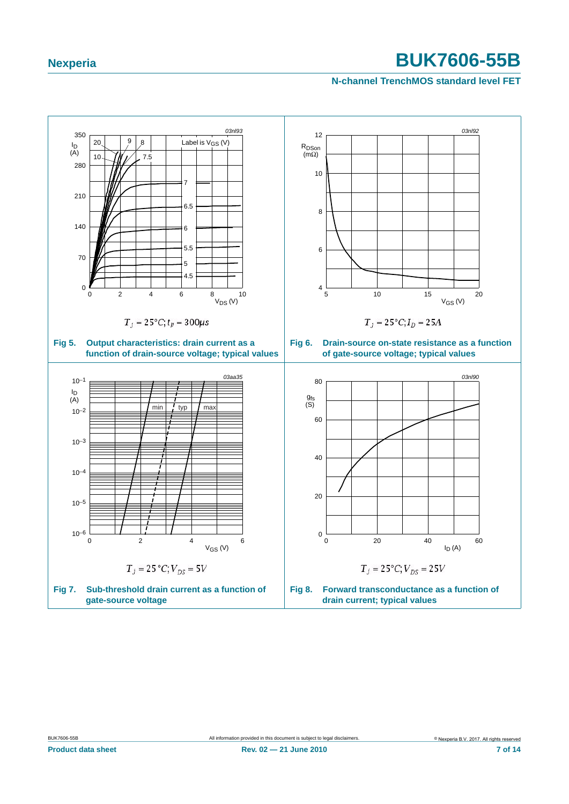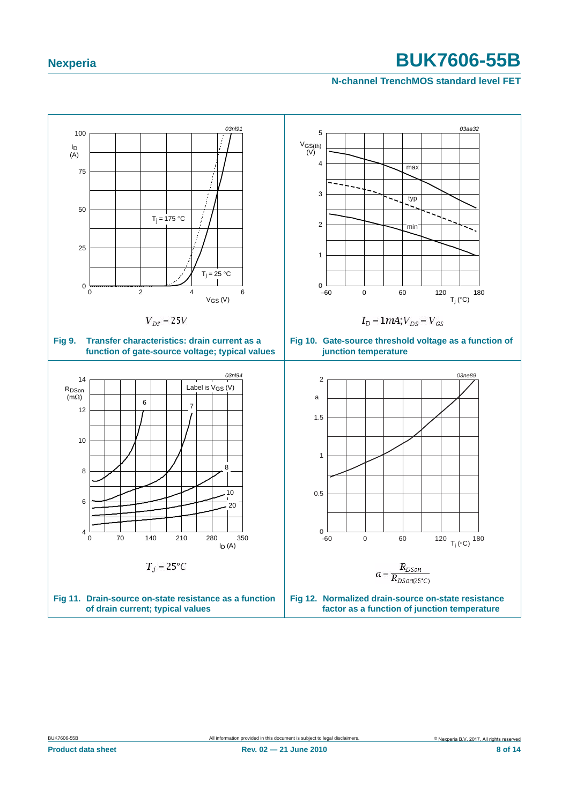<span id="page-7-2"></span><span id="page-7-1"></span><span id="page-7-0"></span>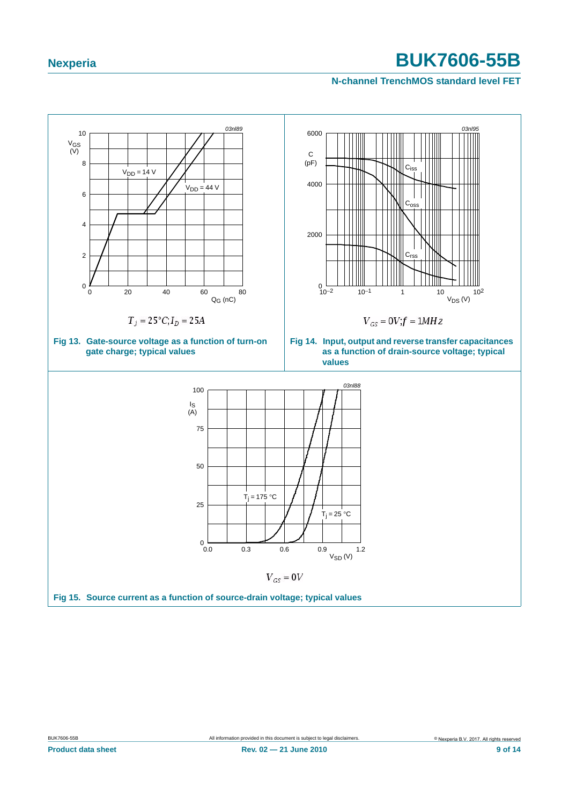<span id="page-8-2"></span><span id="page-8-1"></span><span id="page-8-0"></span>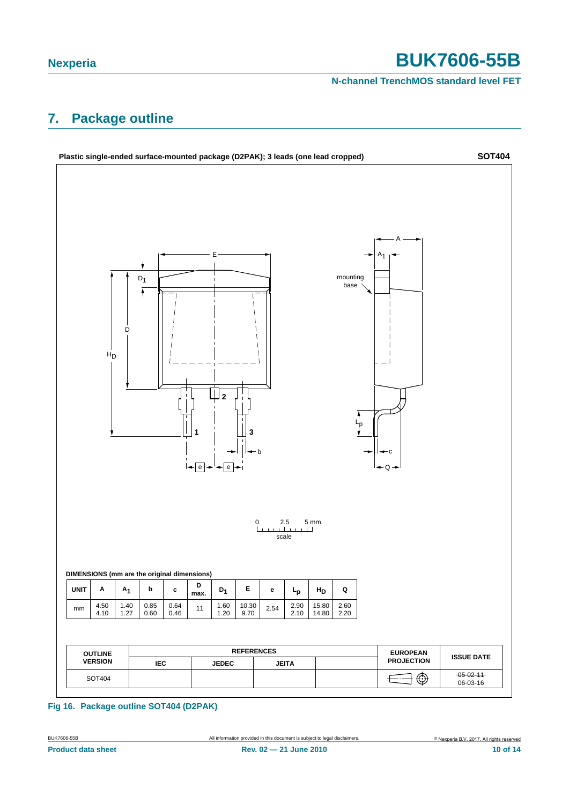**N-channel TrenchMOS standard level FET**

### <span id="page-9-0"></span>**7. Package outline**



**Fig 16. Package outline SOT404 (D2PAK)**

**Product data sheet Rev. 02 — 21 June 2010 10 of 14**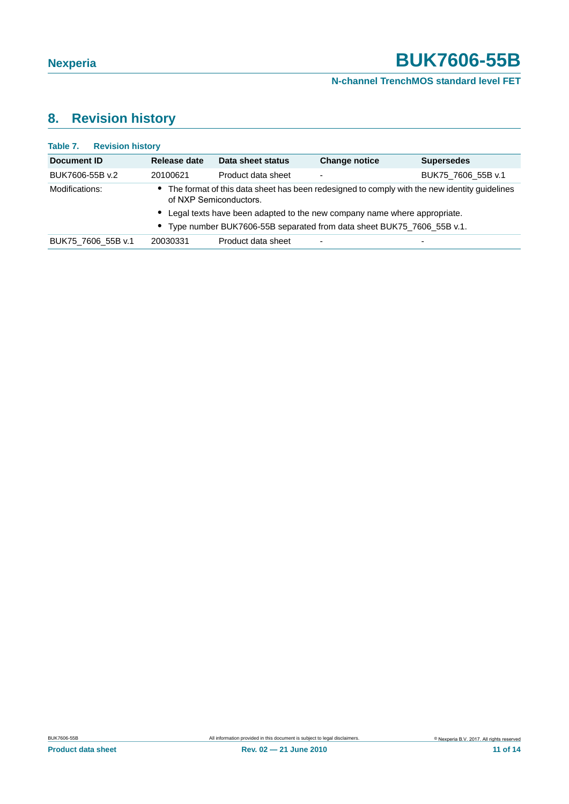#### **N-channel TrenchMOS standard level FET**

# <span id="page-10-0"></span>**8. Revision history**

| <b>Table 7. Revision history</b> |                                                                                                                          |                    |                                                                            |                    |  |  |
|----------------------------------|--------------------------------------------------------------------------------------------------------------------------|--------------------|----------------------------------------------------------------------------|--------------------|--|--|
| Document ID                      | Release date                                                                                                             | Data sheet status  | <b>Change notice</b>                                                       | <b>Supersedes</b>  |  |  |
| BUK7606-55B v.2                  | 20100621                                                                                                                 | Product data sheet | -                                                                          | BUK75 7606 55B v.1 |  |  |
| Modifications:                   | • The format of this data sheet has been redesigned to comply with the new identity guidelines<br>of NXP Semiconductors. |                    |                                                                            |                    |  |  |
|                                  |                                                                                                                          |                    | • Legal texts have been adapted to the new company name where appropriate. |                    |  |  |
|                                  |                                                                                                                          |                    | • Type number BUK7606-55B separated from data sheet BUK75_7606_55B v.1.    |                    |  |  |
| BUK75 7606 55B v.1               | 20030331                                                                                                                 | Product data sheet |                                                                            |                    |  |  |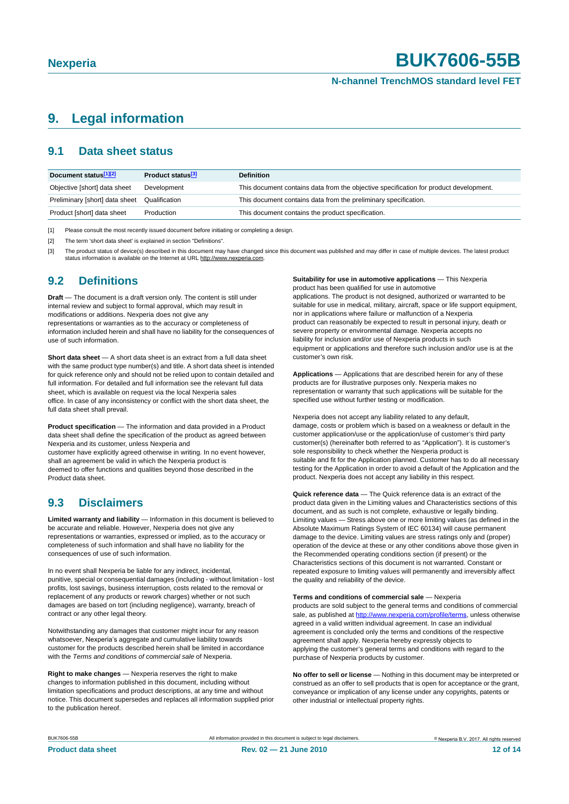#### **N-channel TrenchMOS standard level FET**

### <span id="page-11-3"></span>**9. Legal information**

#### <span id="page-11-4"></span>**9.1 Data sheet status**

| Document status[1][2]          | Product status <sup>[3]</sup> | <b>Definition</b>                                                                     |
|--------------------------------|-------------------------------|---------------------------------------------------------------------------------------|
| Objective [short] data sheet   | Development                   | This document contains data from the objective specification for product development. |
| Preliminary [short] data sheet | Qualification                 | This document contains data from the preliminary specification.                       |
| Product [short] data sheet     | Production                    | This document contains the product specification.                                     |

<span id="page-11-0"></span>[1] Please consult the most recently issued document before initiating or completing a design.

<span id="page-11-1"></span>[2] The term 'short data sheet' is explained in section "Definitions".

<span id="page-11-2"></span>[3] The product status of device(s) described in this document may have changed since this document was published and may differ in case of multiple devices. The latest product<br>status information is available on the Intern

#### <span id="page-11-5"></span>**9.2 Definitions**

**Draft** — The document is a draft version only. The content is still under internal review and subject to formal approval, which may result in modifications or additions. Nexperia does not give any representations or warranties as to the accuracy or completeness of information included herein and shall have no liability for the consequences of use of such information.

**Short data sheet** — A short data sheet is an extract from a full data sheet with the same product type number(s) and title. A short data sheet is intended for quick reference only and should not be relied upon to contain detailed and full information. For detailed and full information see the relevant full data sheet, which is available on request via the local Nexperia sales office. In case of any inconsistency or conflict with the short data sheet, the full data sheet shall prevail.

**Product specification** — The information and data provided in a Product data sheet shall define the specification of the product as agreed between Nexperia and its customer, unless Nexperia and

customer have explicitly agreed otherwise in writing. In no event however, shall an agreement be valid in which the Nexperia product is deemed to offer functions and qualities beyond those described in the Product data sheet.

### <span id="page-11-6"></span>**9.3 Disclaimers**

**Limited warranty and liability** — Information in this document is believed to be accurate and reliable. However, Nexperia does not give any representations or warranties, expressed or implied, as to the accuracy or completeness of such information and shall have no liability for the consequences of use of such information.

In no event shall Nexperia be liable for any indirect, incidental, punitive, special or consequential damages (including - without limitation - lost profits, lost savings, business interruption, costs related to the removal or replacement of any products or rework charges) whether or not such damages are based on tort (including negligence), warranty, breach of contract or any other legal theory.

Notwithstanding any damages that customer might incur for any reason whatsoever, Nexperia's aggregate and cumulative liability towards customer for the products described herein shall be limited in accordance with the *Terms and conditions of commercial sale* of Nexperia.

**Right to make changes** — Nexperia reserves the right to make changes to information published in this document, including without limitation specifications and product descriptions, at any time and without notice. This document supersedes and replaces all information supplied prior to the publication hereof.

**Suitability for use in automotive applications** — This Nexperia product has been qualified for use in automotive

applications. The product is not designed, authorized or warranted to be suitable for use in medical, military, aircraft, space or life support equipment, nor in applications where failure or malfunction of a Nexperia product can reasonably be expected to result in personal injury, death or severe property or environmental damage. Nexperia accepts no liability for inclusion and/or use of Nexperia products in such equipment or applications and therefore such inclusion and/or use is at the customer's own risk.

**Applications** — Applications that are described herein for any of these products are for illustrative purposes only. Nexperia makes no representation or warranty that such applications will be suitable for the specified use without further testing or modification.

Nexperia does not accept any liability related to any default, damage, costs or problem which is based on a weakness or default in the customer application/use or the application/use of customer's third party customer(s) (hereinafter both referred to as "Application"). It is customer's sole responsibility to check whether the Nexperia product is suitable and fit for the Application planned. Customer has to do all necessary testing for the Application in order to avoid a default of the Application and the product. Nexperia does not accept any liability in this respect.

**Quick reference data** — The Quick reference data is an extract of the product data given in the Limiting values and Characteristics sections of this document, and as such is not complete, exhaustive or legally binding. Limiting values — Stress above one or more limiting values (as defined in the Absolute Maximum Ratings System of IEC 60134) will cause permanent damage to the device. Limiting values are stress ratings only and (proper) operation of the device at these or any other conditions above those given in the Recommended operating conditions section (if present) or the Characteristics sections of this document is not warranted. Constant or repeated exposure to limiting values will permanently and irreversibly affect the quality and reliability of the device.

**Terms and conditions of commercial sale** — Nexperia products are sold subject to the general terms and conditions of commercial sale, as published at http://www.nexperia.com/profile/terms, unless otherwise agreed in a valid written individual agreement. In case an individual agreement is concluded only the terms and conditions of the respective agreement shall apply. Nexperia hereby expressly objects to applying the customer's general terms and conditions with regard to the purchase of Nexperia products by customer.

**No offer to sell or license** — Nothing in this document may be interpreted or construed as an offer to sell products that is open for acceptance or the grant, conveyance or implication of any license under any copyrights, patents or other industrial or intellectual property rights.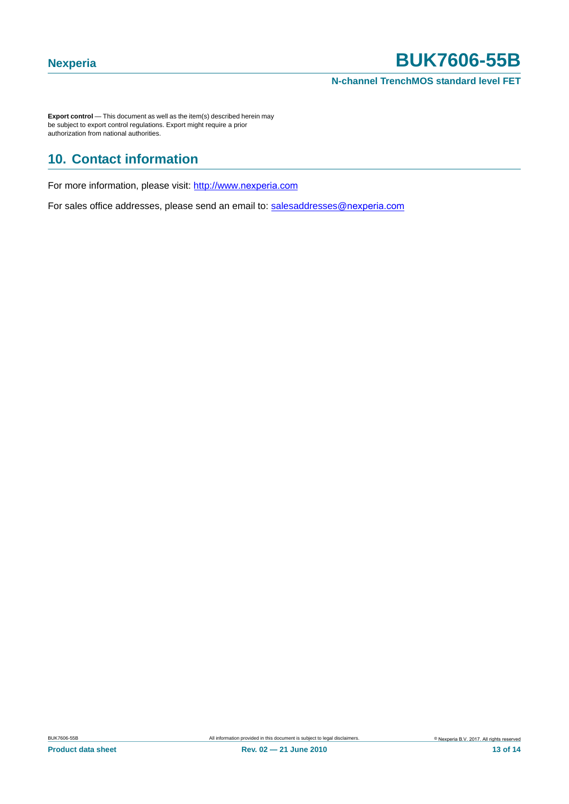**N-channel TrenchMOS standard level FET**

**Export control** — This document as well as the item(s) described herein may be subject to export control regulations. Export might require a prior authorization from national authorities.

## <span id="page-12-0"></span>**10. Contact information**

For more information, please visit: http://www.nexperia.com

<span id="page-12-1"></span>For sales office addresses, please send an email to: salesaddresses@nexperia.com